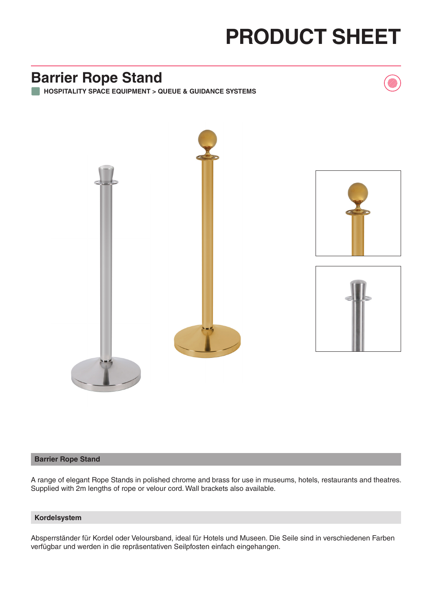# **PRODUCT SHEET**

## **Barrier Rope Stand**

**HOSPITALITY SPACE EQUIPMENT > QUEUE & GUIDANCE SYSTEMS**



### **Barrier Rope Stand**

A range of elegant Rope Stands in polished chrome and brass for use in museums, hotels, restaurants and theatres. Supplied with 2m lengths of rope or velour cord. Wall brackets also available.

#### **Kordelsystem**

Absperrständer für Kordel oder Veloursband, ideal für Hotels und Museen. Die Seile sind in verschiedenen Farben verfügbar und werden in die repräsentativen Seilpfosten einfach eingehangen.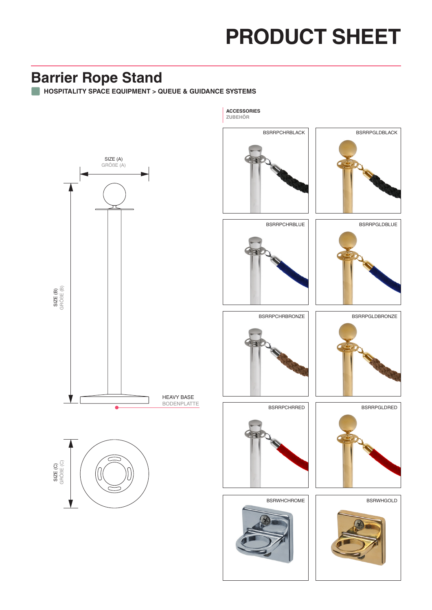# **PRODUCT SHEET**

## **Barrier Rope Stand**

**HOSPITALITY SPACE EQUIPMENT > QUEUE & GUIDANCE SYSTEMS**



**ZUBEHÖR**

**ACCESSORIES**





BSRRPCHRBLUE | | BSRRPGLDBLUE





BSRRPCHRRED



BSRWHCHROME







BSRWHGOLD